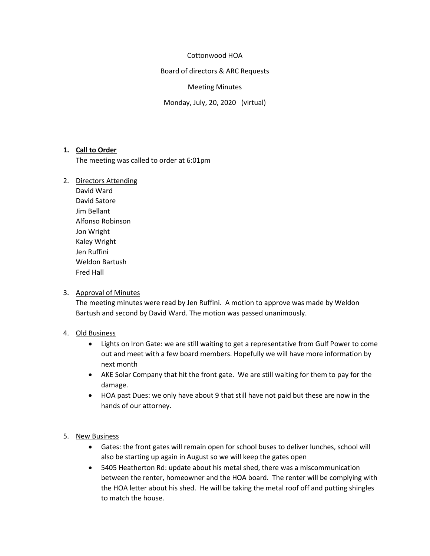# Cottonwood HOA

Board of directors & ARC Requests

### Meeting Minutes

Monday, July, 20, 2020 (virtual)

# **1. Call to Order**

The meeting was called to order at 6:01pm

- 2. Directors Attending
	- David Ward David Satore Jim Bellant Alfonso Robinson Jon Wright Kaley Wright Jen Ruffini Weldon Bartush Fred Hall

#### 3. Approval of Minutes

The meeting minutes were read by Jen Ruffini. A motion to approve was made by Weldon Bartush and second by David Ward. The motion was passed unanimously.

# 4. Old Business

- Lights on Iron Gate: we are still waiting to get a representative from Gulf Power to come out and meet with a few board members. Hopefully we will have more information by next month
- AKE Solar Company that hit the front gate. We are still waiting for them to pay for the damage.
- HOA past Dues: we only have about 9 that still have not paid but these are now in the hands of our attorney.

# 5. New Business

- Gates: the front gates will remain open for school buses to deliver lunches, school will also be starting up again in August so we will keep the gates open
- 5405 Heatherton Rd: update about his metal shed, there was a miscommunication between the renter, homeowner and the HOA board. The renter will be complying with the HOA letter about his shed. He will be taking the metal roof off and putting shingles to match the house.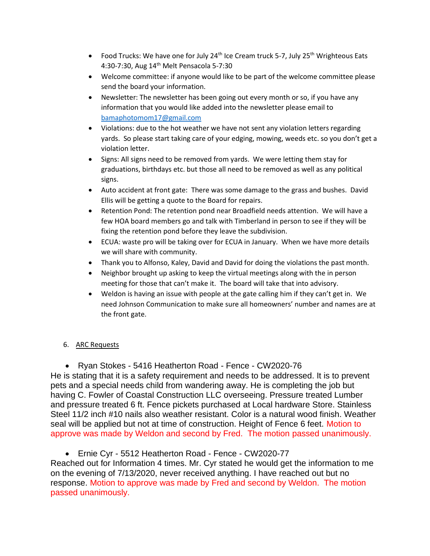- Food Trucks: We have one for July 24<sup>th</sup> Ice Cream truck 5-7, July 25<sup>th</sup> Wrighteous Eats 4:30-7:30, Aug 14th Melt Pensacola 5-7:30
- Welcome committee: if anyone would like to be part of the welcome committee please send the board your information.
- Newsletter: The newsletter has been going out every month or so, if you have any information that you would like added into the newsletter please email to [bamaphotomom17@gmail.com](mailto:bamaphotomom17@gmail.com)
- Violations: due to the hot weather we have not sent any violation letters regarding yards. So please start taking care of your edging, mowing, weeds etc. so you don't get a violation letter.
- Signs: All signs need to be removed from yards. We were letting them stay for graduations, birthdays etc. but those all need to be removed as well as any political signs.
- Auto accident at front gate: There was some damage to the grass and bushes. David Ellis will be getting a quote to the Board for repairs.
- Retention Pond: The retention pond near Broadfield needs attention. We will have a few HOA board members go and talk with Timberland in person to see if they will be fixing the retention pond before they leave the subdivision.
- ECUA: waste pro will be taking over for ECUA in January. When we have more details we will share with community.
- Thank you to Alfonso, Kaley, David and David for doing the violations the past month.
- Neighbor brought up asking to keep the virtual meetings along with the in person meeting for those that can't make it. The board will take that into advisory.
- Weldon is having an issue with people at the gate calling him if they can't get in. We need Johnson Communication to make sure all homeowners' number and names are at the front gate.

# 6. ARC Requests

• Ryan Stokes - 5416 Heatherton Road - Fence - CW2020-76

He is stating that it is a safety requirement and needs to be addressed. It is to prevent pets and a special needs child from wandering away. He is completing the job but having C. Fowler of Coastal Construction LLC overseeing. Pressure treated Lumber and pressure treated 6 ft. Fence pickets purchased at Local hardware Store. Stainless Steel 11/2 inch #10 nails also weather resistant. Color is a natural wood finish. Weather seal will be applied but not at time of construction. Height of Fence 6 feet. Motion to approve was made by Weldon and second by Fred. The motion passed unanimously.

• Ernie Cyr - 5512 Heatherton Road - Fence - CW2020-77

Reached out for Information 4 times. Mr. Cyr stated he would get the information to me on the evening of 7/13/2020, never received anything. I have reached out but no response. Motion to approve was made by Fred and second by Weldon. The motion passed unanimously.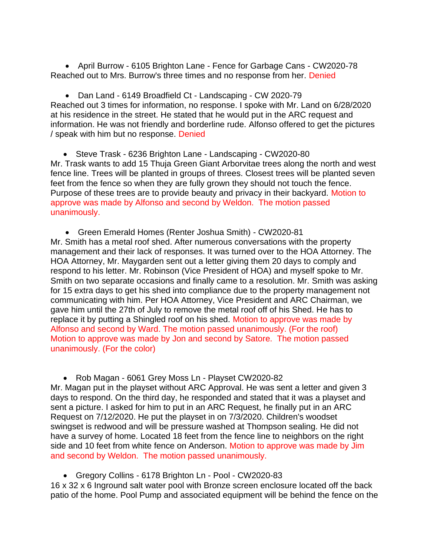• April Burrow - 6105 Brighton Lane - Fence for Garbage Cans - CW2020-78 Reached out to Mrs. Burrow's three times and no response from her. Denied

• Dan Land - 6149 Broadfield Ct - Landscaping - CW 2020-79 Reached out 3 times for information, no response. I spoke with Mr. Land on 6/28/2020 at his residence in the street. He stated that he would put in the ARC request and information. He was not friendly and borderline rude. Alfonso offered to get the pictures / speak with him but no response. Denied

• Steve Trask - 6236 Brighton Lane - Landscaping - CW2020-80 Mr. Trask wants to add 15 Thuja Green Giant Arborvitae trees along the north and west fence line. Trees will be planted in groups of threes. Closest trees will be planted seven feet from the fence so when they are fully grown they should not touch the fence. Purpose of these trees are to provide beauty and privacy in their backyard. Motion to approve was made by Alfonso and second by Weldon. The motion passed unanimously.

• Green Emerald Homes (Renter Joshua Smith) - CW2020-81 Mr. Smith has a metal roof shed. After numerous conversations with the property management and their lack of responses. It was turned over to the HOA Attorney. The HOA Attorney, Mr. Maygarden sent out a letter giving them 20 days to comply and respond to his letter. Mr. Robinson (Vice President of HOA) and myself spoke to Mr. Smith on two separate occasions and finally came to a resolution. Mr. Smith was asking for 15 extra days to get his shed into compliance due to the property management not communicating with him. Per HOA Attorney, Vice President and ARC Chairman, we gave him until the 27th of July to remove the metal roof off of his Shed. He has to replace it by putting a Shingled roof on his shed. Motion to approve was made by Alfonso and second by Ward. The motion passed unanimously. (For the roof) Motion to approve was made by Jon and second by Satore. The motion passed unanimously. (For the color)

• Rob Magan - 6061 Grey Moss Ln - Playset CW2020-82

Mr. Magan put in the playset without ARC Approval. He was sent a letter and given 3 days to respond. On the third day, he responded and stated that it was a playset and sent a picture. I asked for him to put in an ARC Request, he finally put in an ARC Request on 7/12/2020. He put the playset in on 7/3/2020. Children's woodset swingset is redwood and will be pressure washed at Thompson sealing. He did not have a survey of home. Located 18 feet from the fence line to neighbors on the right side and 10 feet from white fence on Anderson. Motion to approve was made by Jim and second by Weldon. The motion passed unanimously.

• Gregory Collins - 6178 Brighton Ln - Pool - CW2020-83

16 x 32 x 6 Inground salt water pool with Bronze screen enclosure located off the back patio of the home. Pool Pump and associated equipment will be behind the fence on the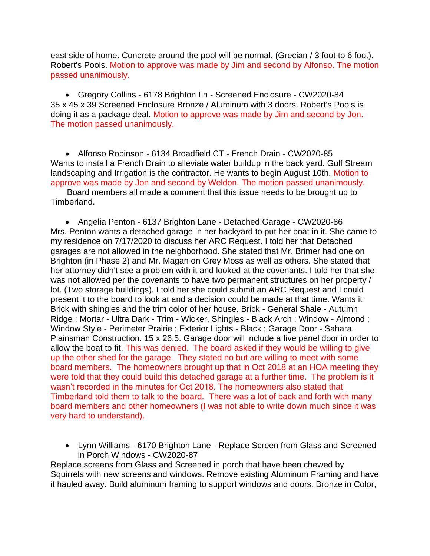east side of home. Concrete around the pool will be normal. (Grecian / 3 foot to 6 foot). Robert's Pools. Motion to approve was made by Jim and second by Alfonso. The motion passed unanimously.

• Gregory Collins - 6178 Brighton Ln - Screened Enclosure - CW2020-84 35 x 45 x 39 Screened Enclosure Bronze / Aluminum with 3 doors. Robert's Pools is doing it as a package deal. Motion to approve was made by Jim and second by Jon. The motion passed unanimously.

• Alfonso Robinson - 6134 Broadfield CT - French Drain - CW2020-85 Wants to install a French Drain to alleviate water buildup in the back yard. Gulf Stream landscaping and Irrigation is the contractor. He wants to begin August 10th. Motion to approve was made by Jon and second by Weldon. The motion passed unanimously.

 Board members all made a comment that this issue needs to be brought up to Timberland.

• Angelia Penton - 6137 Brighton Lane - Detached Garage - CW2020-86 Mrs. Penton wants a detached garage in her backyard to put her boat in it. She came to my residence on 7/17/2020 to discuss her ARC Request. I told her that Detached garages are not allowed in the neighborhood. She stated that Mr. Brimer had one on Brighton (in Phase 2) and Mr. Magan on Grey Moss as well as others. She stated that her attorney didn't see a problem with it and looked at the covenants. I told her that she was not allowed per the covenants to have two permanent structures on her property / lot. (Two storage buildings). I told her she could submit an ARC Request and I could present it to the board to look at and a decision could be made at that time. Wants it Brick with shingles and the trim color of her house. Brick - General Shale - Autumn Ridge ; Mortar - Ultra Dark - Trim - Wicker, Shingles - Black Arch ; Window - Almond ; Window Style - Perimeter Prairie ; Exterior Lights - Black ; Garage Door - Sahara. Plainsman Construction. 15 x 26.5. Garage door will include a five panel door in order to allow the boat to fit. This was denied. The board asked if they would be willing to give up the other shed for the garage. They stated no but are willing to meet with some board members. The homeowners brought up that in Oct 2018 at an HOA meeting they were told that they could build this detached garage at a further time. The problem is it wasn't recorded in the minutes for Oct 2018. The homeowners also stated that Timberland told them to talk to the board. There was a lot of back and forth with many board members and other homeowners (I was not able to write down much since it was very hard to understand).

• Lynn Williams - 6170 Brighton Lane - Replace Screen from Glass and Screened in Porch Windows - CW2020-87

Replace screens from Glass and Screened in porch that have been chewed by Squirrels with new screens and windows. Remove existing Aluminum Framing and have it hauled away. Build aluminum framing to support windows and doors. Bronze in Color,